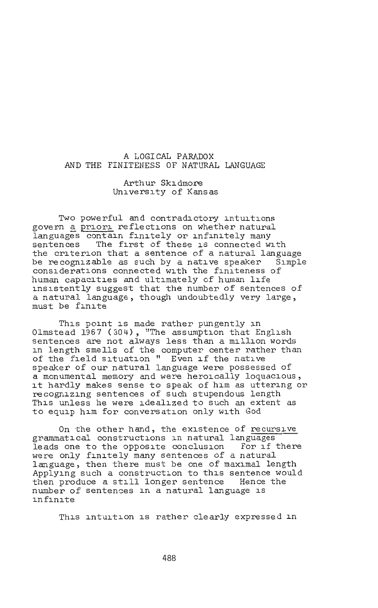### A LOGICAL PARADOX AND THE FINITENESS OF NATURAL LANGUAGE

Arthur Skidmore University of Kansas

Two powerful and contradictory intuitions govern a priori reflections on whether natural languages contain finitely or infinitely many<br>sentences The first of these is connected w. The first of these is connected with the criterion that a sentence of a natural language be recognizable as such by a native speaker Simple considerations connected with the finiteness of human capacities and ultimately of human life insistently suggest that the number of sentences of a natural language, though undoubtedly very large, must be finite

This point is made rather pungently in Olmstead 1967 (304), "The assumption that English sentences are not always less than a million words in length smells of the computer center rather than of the field situation " Even if the native speaker of our natural language were possessed of a monumental memory and were heroically loquacious, a monumental memory and were neroically loquacious,<br>it hardly makes sense to speak of him as uttering or recognizing sentences of such stupendous length This unless he were idealized to such an extent as to equip him for conversation only with God

On the other hand, the existence of recursive grammatical constructions in natural languages leads one to the opposite conclusion For if there were only finitely many sentences of a natural language, then there must be one of maximal length Applying such a construction to this sentence would then produce a still longer sentence Hence the number of sentences in a natural language is infinite

This intuition is rather clearly expressed in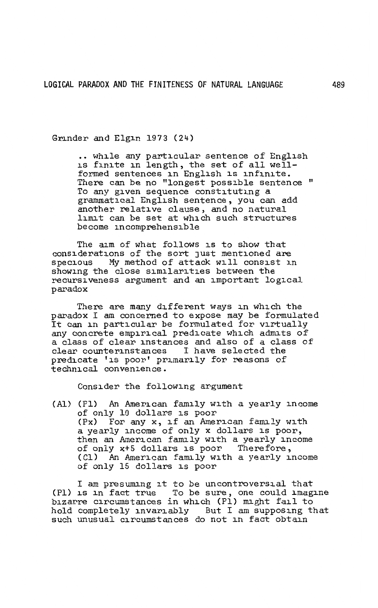Grinder and Elgin 1973 (24)

•• while any particular sentence of English is finite in length, the set of all wellformed sentences in English is infinite. There can be no "longest possible sentence " To any given sequence constituting a grammatical English sentence, you can add another relative clause, and no natural limit can be set at which such structures become incomprehensible

The aim of what follows is to show that considerations of the sort just mentioned are specious My method of attack will consist in showing the close similarities between the recursiveness argument and an important logical paradox

There are many different ways in which the paradox I am concerned to expose may be formulated paradox I am concerned to expose may be formulated<br>It can in particular be formulated for virtually any concrete empirical predicate which admits of a class of clear instances and also of a class of clear counterinstances I have selected the predicate 'is poor' primarily for reasons of technical convenience.

Consider the following argument

(Al) (Pl) An American family with a yearly income of only 10 dollars is poor (Px) For any x, if an American fanuly with a yearly income of only x dollars is poor, then an American fanuly with a yearly income of only x+5 dollars is poor Therefore, (Cl) An American family with a yearly income of only 15 dollars is poor

I am presunung it to be uncontroversial that (Pl) is in fact true To be sure, one could imagine bizarre circumstances in which (Pl) nught fail to hold completely invariably But I am supposing that such unusual circumstances do not in fact obtain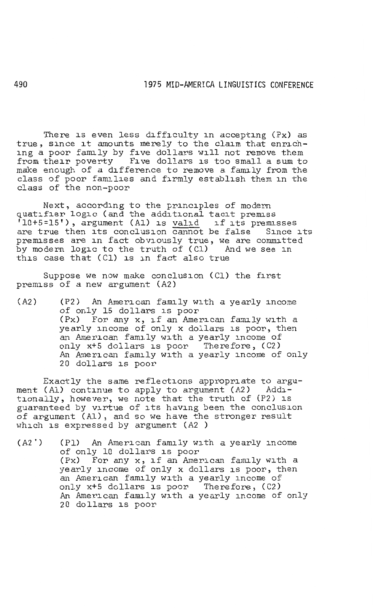There is even less difficulty in accepting (Px) as true, since it amounts merely to the claim that enriching a poor family by five dollars will not remove them from their poverty Five dollars is too small a sum to make enough of a difference to remove a family from the class of poor families and firmly establish them in the class of the non-poor

Next, according to the principles of modern quatifier logic (and the additional tacit premiss luatifier fogle (and the additional facit premiss<br>'10+5=15'), argument (Al) is <u>valid</u> if its premisses are true then its conclusion cannot be false Since its premisses are in fact obviously true, we are committed by modern logic to the truth of (Cl) And we see in this case that (Cl) is in fact also true

Suppose we now make conclusion (Cl) the first premiss of a new argument (A2)

(A2) (P2) An American family with a yearly income of only 15 dollars is poor (Px) For any x, if an American family with a yearly income of only x dollars is poor, then an American family with a yearly income of only x+S dollars is poor Therefore, (C2) An American family with a yearly income of only 20 dollars is poor

Exactly the same reflections appropriate to argument (Al) continue to apply to argument (A2) Additionally, however, we note that the truth of (P2) is guaranteed by virtue of its having been the conclusion of argument (Al), and so we have the stronger result which is expressed by argument (A2 )

(A2') (Pl) An American family with a yearly income of only 10 dollars is poor or only 10 dollars is poor<br>(Px) For any x, if an American family with a yearly income of only x dollars is poor, then an American family with a yearly income of only x+S dollars is poor Therefore, (C2) An American family with a yearly income of only 20 dollars is poor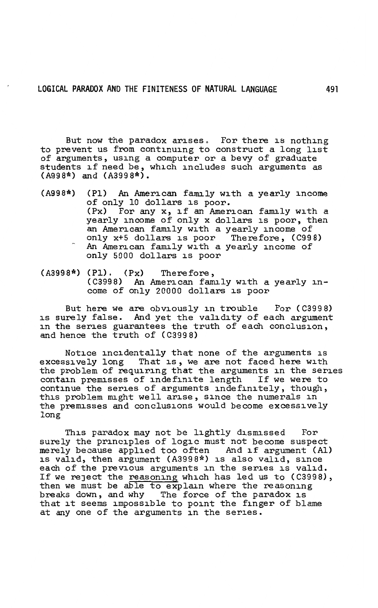But now the paradox arises. For there is nothing to prevent us from continuing to construct a long list of arguments, using a computer or a bevy of graduate of arguments, using a computer or a bevy of graduate<br>students if need be, which includes such arguments as<br>(A998\*) and (A3998\*).

- (A998\*) (Pl) An American family with a yearly income of only 10 dollars is poor. (Px) For any x, if an American family with a yearly income of only x dollars is poor, then an American family with a yearly income of only x+5 dollars is poor Therefore, (C998) An American family with a yearly income of only 5000 dollars is poor
- (A3998\*) (Pl). (Px) Therefore, (C3998) An American family with a yearly income of only 20000 dollars is poor

But here we are obviously in trouble For (C3998) is surely false. And yet the validity of each argument in the series guarantees the truth of each conclusion, and hence the truth of (C3998)

Notice incidentally that none of the arguments is excessively long That is, we are not faced here with the problem of requiring that the arguments in the series contain premisses of indefinite length If we were to continue the series of arguments indefinitely, though, this problem might well arise, since the numerals in the premisses and conclusions would become excessively long

This paradox may not be lightly dismissed For surely the principles of logic must not become suspect merely because applied too often And if argument (Al) is valid, then argument (A3998\*) is also valid, since each of the previous arguments in the series is valid. If we reJect the reasoning which has led us to (C3998), then we must be able to explain where the reasoning breaks down, and why The force of the paradox is that it seems impossible to point the finger of blame at any one of the arguments in the series.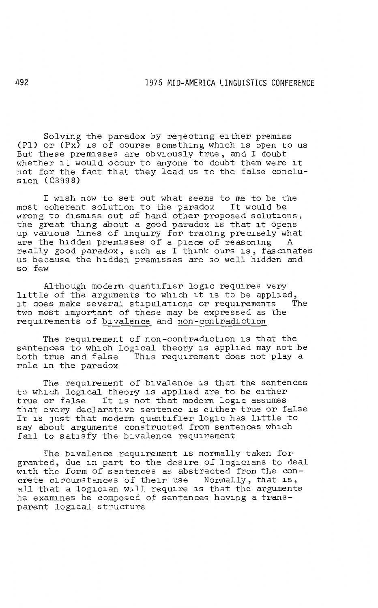Solving the paradox by rejecting either premiss (Pl) or (Px) is of course something which is open to us But these premisses are obviously true, and I doubt whether it would occur to anyone to doubt them were it not for the fact that they lead us to the false conclusion (C3998)

I wish now to set out what seems to me to be the most coherent solution to the paradox It would be wrong to dismiss out of hand other proposed solutions, the great thing about a good paradox is that it opens up various lines of inquiry for tracing precisely what are the hidden premisses of a piece of reasoning really good paradox, such as I think ours is, fascinates us because the hidden premisses are so well hidden and so few

Although modern quantifier logic requires very little of the arguments to which it is to be applied,<br>it does make several stipulations or requirements The it does make several stipulations or requirements two most important of these may be expressed as the requirements of bivalence and non-contradiction

The requirement of non-contradiction is that the sentences to which logical theory is applied may not be both true and false This requirement does not play a role in the paradox

The requirement of bivalence is that the sentences to which logical theory is applied are to be either true or false It is not that modern logic assumes that every declarative sentence is either true or false It is Just that modern quantifier logic has little to say about arguments constructed from sentences which fail to satisfy the bivalence requirement

The bivalence requirement is normally taken for granted, due in part to the desire of logicians to deal with the form of sentences as abstracted from the concrete circumstances of their use Normally, that is, all that a logician will require is that the arguments he examines be composed of sentences having a transparent logical structure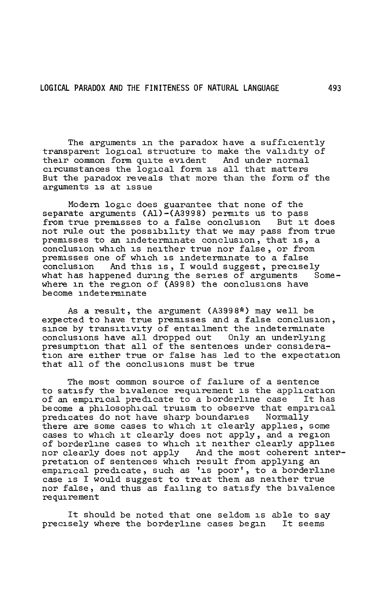The arguments in the paradox have a sufficiently transparent logical structure to make the validity of their common form quite evident And under normal circumstances the logical form is all that matters But the paradox reveals that more than the form of the arguments is at issue

Modern logic does guarantee that none of the separate arguments (Al)-(A3998) permits us to pass<br>from true premisses to a false conclusion But it does from true premisses to a false conclusion not rule out the possibility that we may pass from true premisses to an indeterminate conclusion, that is, a conclusion which is neither true nor false, or from premisses one of which is indeterminate to a false conclusion And this is, I would suggest, precisely what has happened during the series of arguments Somewhere in the region of (A998) the conclusions have become indeterminate

As a result, the argument (A3998\*) may well be expected to have true premisses and a false conclusion, since by transitivity of entailment the indeterminate<br>conclusions have all dropped out Only an underlying conclusions have all dropped out presumption that all of the sentences under consideration are either true or false has led to the expectation that all of the conclusions must be true

The most common source of failure of a sentence to satisfy the bivalence requirement is the application<br>of an empirical predicate to a borderline case It has of an empirical predicate to a borderline case become a philosophical truism to observe that empirical predicates do not have sharp boundaries Normally predicates do not have sharp boundaries there are some cases to which it clearly applies, some cases to which it clearly does not apply, and a region of borderline cases to which it neither clearly applies nor clearly does not apply And the most coherent interpretation of sentences which result from applying an pretation of sentences which result from applying an empirical predicate, such as 'is poor', to a borderline case is I would suggest to treat them as neither true nor false, and thus as failing to satisfy the bivalence requirement

It should be noted that one seldom is able to say precisely where the borderline cases begin It seems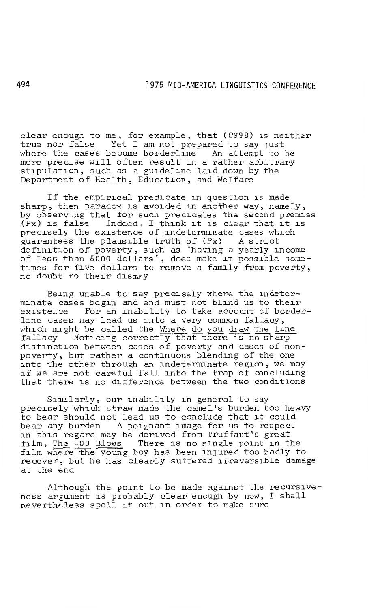clear enough to me, for example, that (C998) is neither true nor false Yet I am not prepared to say Just where the cases become borderline An attempt to be more precise will often result in a rather arbitrary stipulation, such as a guideline laid down by the Department of Health, Education, and Welfare

If the empirical predicate in question is made sharp, then paradox is avoided in another way, namely, by observing that for such predicates the second premiss (Px) is false Indeed, I think it is clear that it is precisely the existence of indeterminate cases which guarantees the plausible truth of (Px) A strict definition of poverty, such as 'having a yearly income of less than 5000 dollars', does make it possible some-times for five dollars to remove a family from poverty, no doubt to their dismay

Being unable to say precisely where the indeterminate cases begin and end must not blind us to their existence For an inability to take account of borderline cases may lead us into a very common fallacy, which might be called the Where do you draw the line fallacy Noticing correctly that there is no sharp distinction between cases of poverty and cases of nonpoverty, but rather a continuous blending of the one into the other through an indeterminate region, we may if we are not careful fall into the trap of concluding that there is no difference between the two conditions

Similarly, our inability in general to say precisely which straw made the camel's burden too heavy to bear should not lead us to conclude that it could bear any burden A poignant image for us to respect in this regard may be derived from Truffaut's great film, The 400 Blows There is no single point in the film where the young boy has been injured too badly to recover, but he has clearly suffered irreversible damage at the end

Although the point to be made against the recursiveness argument is probably clear enough by now, I shall nevertheless spell it out in order to make sure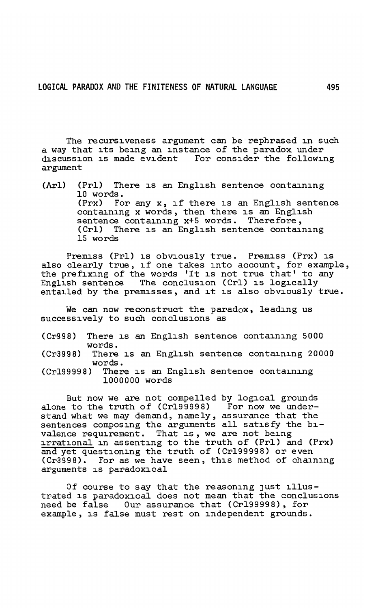The recursiveness argument can be rephrased in such a way that its being an instance of the paradox under discussion is made evident For consider the following argument

(Arl) (Prl) There is an English sentence containing 10 words. (Prx) For any x, if there is an English sentence containing x words, then there is an English sentence containing x+5 words. Therefore, (Crl) There is an English sentence containing 15 words

Premiss (Prl) is obviously true. Premiss (Prx) is also clearly true, if one takes into account, for example, the prefixing of the words 'It is not true that' to any English sentence The conclusion (Crl) is logically entailed by the premisses, and it is also obviously true.

We can now reconstruct the paradox, leading us successively to such conclusions as

(Cr998) There is an English sentence containing 5000 words.

(Cr3998) There is an English sentence containing 20000 words.

(Crl99998) There is an English sentence containing 1000000 words

But now we are not compelled by logical grounds alone to the truth of (Cr199998) For now we understand what we may demand, namely, assurance that the sentences composing the arguments all satisfy the bivalence requirement. That is, we are not being irrational in assenting to the truth of (Prl) and (Prx) and yet questioning the truth of (Crl99998) or even (Cr3998). For as we have seen, this method of chaining arguments is paradoxical

Of course to say that the reasoning Just illustrated is paradoxical does not mean that the conclusions need be false Our assurance that (Crl99998), for example, is false must rest on independent grounds.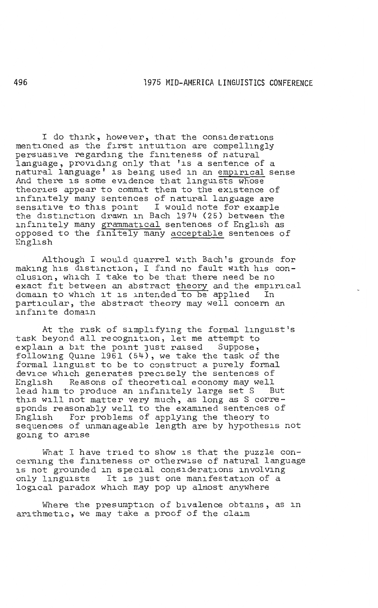I do think, however, that the considerations mentioned as the first intuition are compellingly persuasive regarding the finiteness of natural language, providing only that 'is a sentence of a natural language' is being used in an empirical sense And there is some evidence that linguists whose theories appear to commit them to the existence of infinitely many sentences of natural language are sensitive to this point I would note for example the distinction drawn in Bach 1974 (25) between the infinitely many grammatical sentences of English as opposed to the finitely many acceptable sentences of English

Although I would quarrel with Bach's grounds for making his distinction, I find no fault with his conclusion, which I take to be that there need be no exact fit between an abstract theory and the empirical domain to which it is intended to be applied In particular, the abstract theory may well concern an infinite domain

At the risk of simplifying the formal linguist's task beyond all recognition, let me attempt to explain a bit the point just raised following Quine 1961 (54), we take the task of the formal linguist to be to construct a purely formal device which generates precisely the sentences of English Reasons of theoretical economy may well English Reasons of theoretical economy may well<br>lead him to produce an infinitely large set S But<br>this will not matter very much, as long as S corresponds reasonably well to the examined sentences of English For problems of applying the theory to sequences of unmanageable length are by hypothesis not going to arise

What I have tried to show is that the puzzle con-<br>cerning the finiteness or otherwise of natural language is not grounded in special considerations involving<br>only linguists It is just one manifestation of a It is just one manifestation of a logical paradox which may pop up almost anywhere

Where the presumption of bivalence obtains, as in arithmetic, we may take a proof of the claim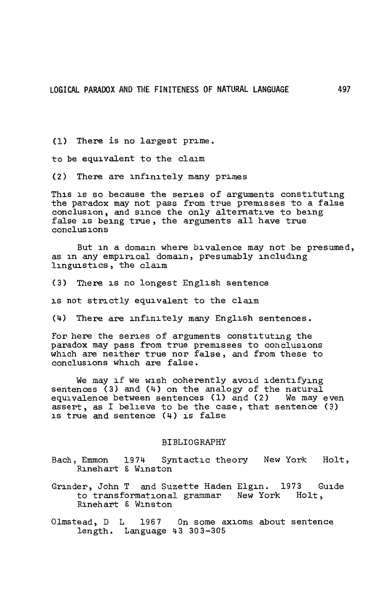(1) There is no largest prime.

to be equivalent to the claim

(2) There are infinitely many primes

This is so because the series of arguments constituting the paradox may not pass from true premisses to a false conclusion, and since the only alternative to being false is being true, the arguments all have true conclusions

But in a domain where bivalence may not be presumed, as in any empirical domain, presumably including linguistics, the claim

(3) There is no longest English sentence

is not strictly equivalent to the claim

(4) There are infinitely many English sentences.

For here the series of arguments constituting the paradox may pass from true premisses to conclusions which are neither true nor false, and from these to conclusions which are false.

We may if we wish coherently avoid identifying sentences (3) and (4) on the analogy of the natural equivalence between sentences (1) and (2) We may even assert, as I believe to be the case, that sentence (3) is true and sentence (4) is false

### BIBLIOGRAPHY

- Bach, Emmon 1974 Syntactic theory New York Holt, Bach, Emmon 1974 Sy.<br>Rinehart & Winston
- Grinder, John T and Suzette Haden Elgin. 1973 to transformational grammar New York Rinehart & Winston Guide Holt,
- Olmstead, D L 1967 On some axioms about sentence length. Language 43 303-305